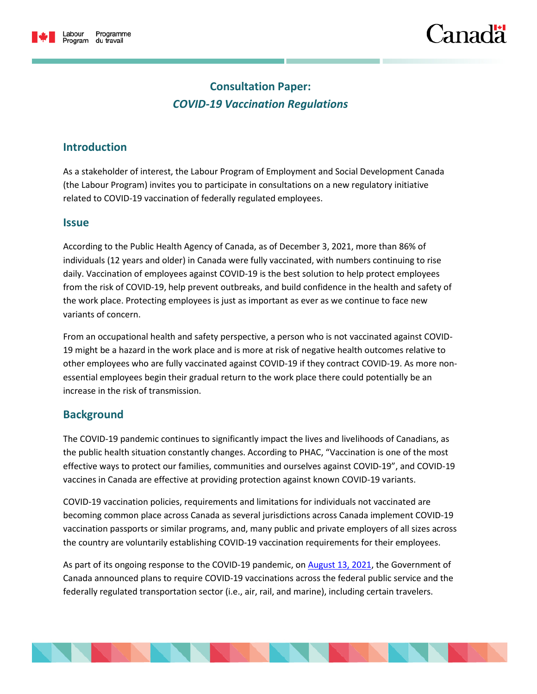

# `anac

# **Consultation Paper:** *COVID-19 Vaccination Regulations*

# **Introduction**

As a stakeholder of interest, the Labour Program of Employment and Social Development Canada (the Labour Program) invites you to participate in consultations on a new regulatory initiative related to COVID-19 vaccination of federally regulated employees.

## **Issue**

According to the Public Health Agency of Canada, as of December 3, 2021, more than 86% of individuals (12 years and older) in Canada were fully vaccinated, with numbers continuing to rise daily. Vaccination of employees against COVID-19 is the best solution to help protect employees from the risk of COVID-19, help prevent outbreaks, and build confidence in the health and safety of the work place. Protecting employees is just as important as ever as we continue to face new variants of concern.

From an occupational health and safety perspective, a person who is not vaccinated against COVID-19 might be a hazard in the work place and is more at risk of negative health outcomes relative to other employees who are fully vaccinated against COVID-19 if they contract COVID-19. As more nonessential employees begin their gradual return to the work place there could potentially be an increase in the risk of transmission.

## **Background**

The COVID-19 pandemic continues to significantly impact the lives and livelihoods of Canadians, as the public health situation constantly changes. According to PHAC, "Vaccination is one of the most effective ways to protect our families, communities and ourselves against COVID-19", and COVID-19 vaccines in Canada are effective at providing protection against known COVID-19 variants.

COVID-19 vaccination policies, requirements and limitations for individuals not vaccinated are becoming common place across Canada as several jurisdictions across Canada implement COVID-19 vaccination passports or similar programs, and, many public and private employers of all sizes across the country are voluntarily establishing COVID-19 vaccination requirements for their employees.

As part of its ongoing response to the COVID-19 pandemic, on **August 13, 2021**, the Government of Canada announced plans to require COVID-19 vaccinations across the federal public service and the federally regulated transportation sector (i.e., air, rail, and marine), including certain travelers.

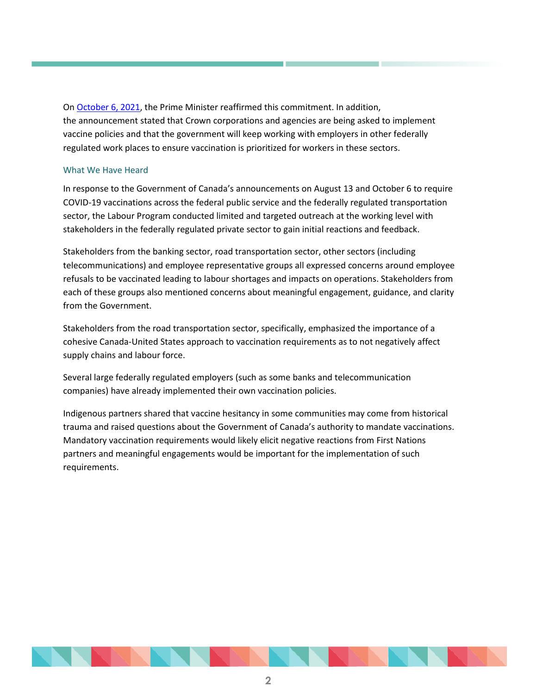O[n October 6, 2021,](https://pm.gc.ca/en/news/news-releases/2021/10/06/prime-minister-announces-mandatory-vaccination-federal-workforce-andC:/Users/johnathan.fleming/AppData/Local/Microsoft/Windows/INetCache/Content.Outlook/0QQVGKL1/Let%E2%80%99s%20hyperlink) the Prime Minister reaffirmed this commitment. In addition, the announcement stated that Crown corporations and agencies are being asked to implement vaccine policies and that the government will keep working with employers in other federally regulated work places to ensure vaccination is prioritized for workers in these sectors.

### What We Have Heard

In response to the Government of Canada's announcements on August 13 and October 6 to require COVID-19 vaccinations across the federal public service and the federally regulated transportation sector, the Labour Program conducted limited and targeted outreach at the working level with stakeholders in the federally regulated private sector to gain initial reactions and feedback.

Stakeholders from the banking sector, road transportation sector, other sectors (including telecommunications) and employee representative groups all expressed concerns around employee refusals to be vaccinated leading to labour shortages and impacts on operations. Stakeholders from each of these groups also mentioned concerns about meaningful engagement, guidance, and clarity from the Government.

Stakeholders from the road transportation sector, specifically, emphasized the importance of a cohesive Canada-United States approach to vaccination requirements as to not negatively affect supply chains and labour force.

Several large federally regulated employers (such as some banks and telecommunication companies) have already implemented their own vaccination policies.

Indigenous partners shared that vaccine hesitancy in some communities may come from historical trauma and raised questions about the Government of Canada's authority to mandate vaccinations. Mandatory vaccination requirements would likely elicit negative reactions from First Nations partners and meaningful engagements would be important for the implementation of such requirements.

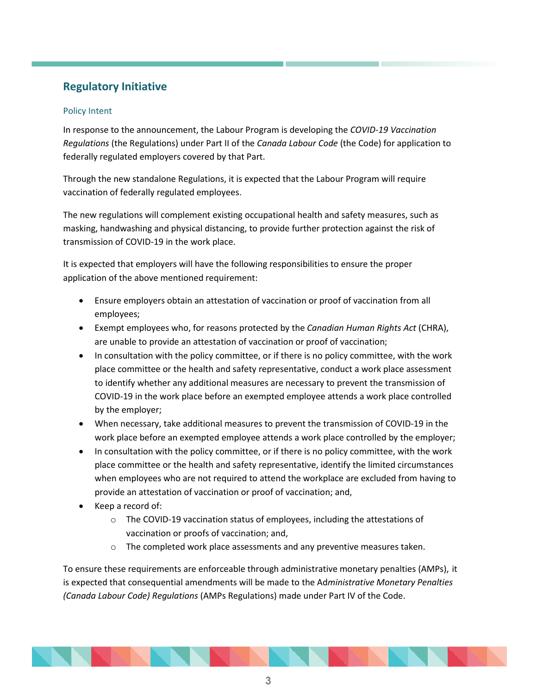# **Regulatory Initiative**

## Policy Intent

In response to the announcement, the Labour Program is developing the *COVID-19 Vaccination Regulations* (the Regulations) under Part II of the *Canada Labour Code* (the Code) for application to federally regulated employers covered by that Part.

Through the new standalone Regulations, it is expected that the Labour Program will require vaccination of federally regulated employees.

The new regulations will complement existing occupational health and safety measures, such as masking, handwashing and physical distancing, to provide further protection against the risk of transmission of COVID-19 in the work place.

It is expected that employers will have the following responsibilities to ensure the proper application of the above mentioned requirement:

- Ensure employers obtain an attestation of vaccination or proof of vaccination from all employees;
- Exempt employees who, for reasons protected by the *Canadian Human Rights Act* (CHRA), are unable to provide an attestation of vaccination or proof of vaccination;
- In consultation with the policy committee, or if there is no policy committee, with the work place committee or the health and safety representative, conduct a work place assessment to identify whether any additional measures are necessary to prevent the transmission of COVID-19 in the work place before an exempted employee attends a work place controlled by the employer;
- When necessary, take additional measures to prevent the transmission of COVID-19 in the work place before an exempted employee attends a work place controlled by the employer;
- In consultation with the policy committee, or if there is no policy committee, with the work place committee or the health and safety representative, identify the limited circumstances when employees who are not required to attend the workplace are excluded from having to provide an attestation of vaccination or proof of vaccination; and,
- Keep a record of:
	- o The COVID-19 vaccination status of employees, including the attestations of vaccination or proofs of vaccination; and,
	- $\circ$  The completed work place assessments and any preventive measures taken.

To ensure these requirements are enforceable through administrative monetary penalties (AMPs), it is expected that consequential amendments will be made to the Ad*ministrative Monetary Penalties (Canada Labour Code) Regulations* (AMPs Regulations) made under Part IV of the Code.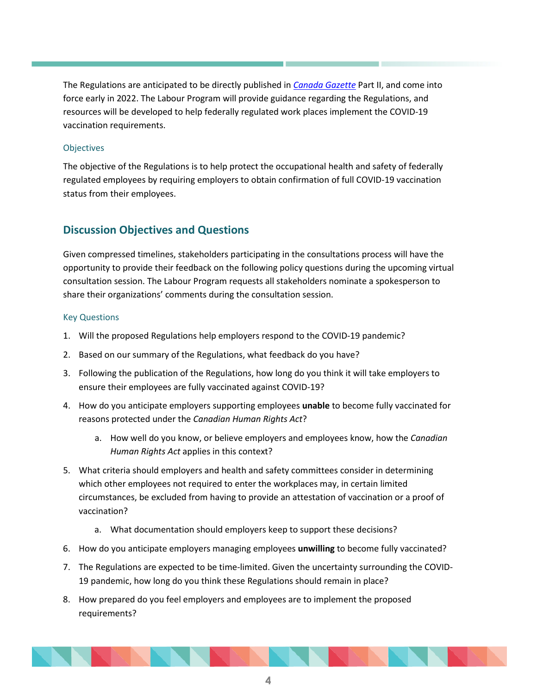The Regulations are anticipated to be directly published in *[Canada Gazette](http://www.gazette.gc.ca/accueil-home-eng.html)* Part II, and come into force early in 2022. The Labour Program will provide guidance regarding the Regulations, and resources will be developed to help federally regulated work places implement the COVID-19 vaccination requirements.

### **Objectives**

The objective of the Regulations is to help protect the occupational health and safety of federally regulated employees by requiring employers to obtain confirmation of full COVID-19 vaccination status from their employees.

# **Discussion Objectives and Questions**

Given compressed timelines, stakeholders participating in the consultations process will have the opportunity to provide their feedback on the following policy questions during the upcoming virtual consultation session. The Labour Program requests all stakeholders nominate a spokesperson to share their organizations' comments during the consultation session.

### Key Questions

- 1. Will the proposed Regulations help employers respond to the COVID-19 pandemic?
- 2. Based on our summary of the Regulations, what feedback do you have?
- 3. Following the publication of the Regulations, how long do you think it will take employers to ensure their employees are fully vaccinated against COVID-19?
- 4. How do you anticipate employers supporting employees **unable** to become fully vaccinated for reasons protected under the *Canadian Human Rights Act*?
	- a. How well do you know, or believe employers and employees know, how the *Canadian Human Rights Act* applies in this context?
- 5. What criteria should employers and health and safety committees consider in determining which other employees not required to enter the workplaces may, in certain limited circumstances, be excluded from having to provide an attestation of vaccination or a proof of vaccination?
	- a. What documentation should employers keep to support these decisions?
- 6. How do you anticipate employers managing employees **unwilling** to become fully vaccinated?
- 7. The Regulations are expected to be time-limited. Given the uncertainty surrounding the COVID-19 pandemic, how long do you think these Regulations should remain in place?
- 8. How prepared do you feel employers and employees are to implement the proposed requirements?